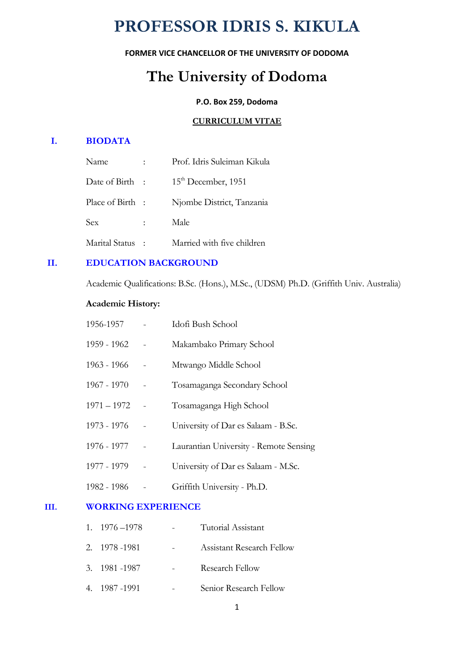# **PROFESSOR IDRIS S. KIKULA**

### **FORMER VICE CHANCELLOR OF THE UNIVERSITY OF DODOMA**

## **The University of Dodoma**

#### **P.O. Box 259, Dodoma**

#### **CURRICULUM VITAE**

## **I. BIODATA**

| Name             |               | Prof. Idris Suleiman Kikula |
|------------------|---------------|-----------------------------|
| Date of Birth :  |               | $15th$ December, 1951       |
| Place of Birth : |               | Njombe District, Tanzania   |
| <b>Sex</b>       | $\mathcal{L}$ | Male                        |
| Marital Status   |               | Married with five children  |

#### **II. EDUCATION BACKGROUND**

Academic Qualifications: B.Sc. (Hons.), M.Sc., (UDSM) Ph.D. (Griffith Univ. Australia)

#### **Academic History:**

| 1956-1957     | Idofi Bush School                      |
|---------------|----------------------------------------|
| 1959 - 1962   | Makambako Primary School               |
| 1963 - 1966   | Mtwango Middle School                  |
| 1967 - 1970   | Tosamaganga Secondary School           |
| $1971 - 1972$ | Tosamaganga High School                |
| 1973 - 1976   | University of Dar es Salaam - B.Sc.    |
| 1976 - 1977   | Laurantian University - Remote Sensing |
| 1977 - 1979   | University of Dar es Salaam - M.Sc.    |
| 1982 - 1986   | Griffith University - Ph.D.            |

#### **III. WORKING EXPERIENCE**

| $1. \quad 1976 - 1978$ | Tutorial Assistant               |
|------------------------|----------------------------------|
| 2. 1978 - 1981         | <b>Assistant Research Fellow</b> |
| 3. 1981 - 1987         | Research Fellow                  |
| 4. 1987 - 1991         | Senior Research Fellow           |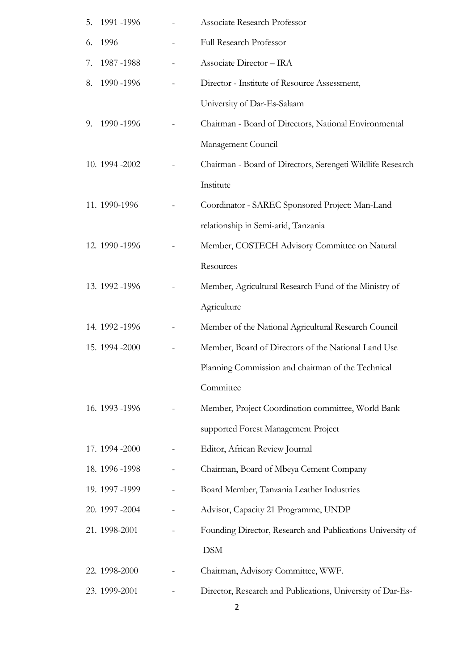| 5. | 1991 -1996      | <b>Associate Research Professor</b>                        |
|----|-----------------|------------------------------------------------------------|
| 6. | 1996            | Full Research Professor                                    |
| 7. | 1987-1988       | Associate Director - IRA                                   |
| 8. | 1990 -1996      | Director - Institute of Resource Assessment,               |
|    |                 | University of Dar-Es-Salaam                                |
| 9. | 1990 - 1996     | Chairman - Board of Directors, National Environmental      |
|    |                 | Management Council                                         |
|    | 10. 1994 - 2002 | Chairman - Board of Directors, Serengeti Wildlife Research |
|    |                 | Institute                                                  |
|    | 11. 1990-1996   | Coordinator - SAREC Sponsored Project: Man-Land            |
|    |                 | relationship in Semi-arid, Tanzania                        |
|    | 12. 1990 - 1996 | Member, COSTECH Advisory Committee on Natural              |
|    |                 | Resources                                                  |
|    | 13. 1992 -1996  | Member, Agricultural Research Fund of the Ministry of      |
|    |                 | Agriculture                                                |
|    | 14. 1992 - 1996 | Member of the National Agricultural Research Council       |
|    | 15. 1994 - 2000 | Member, Board of Directors of the National Land Use        |
|    |                 | Planning Commission and chairman of the Technical          |
|    |                 | Committee                                                  |
|    | 16. 1993 - 1996 | Member, Project Coordination committee, World Bank         |
|    |                 | supported Forest Management Project                        |
|    | 17. 1994 - 2000 | Editor, African Review Journal                             |
|    | 18. 1996 -1998  | Chairman, Board of Mbeya Cement Company                    |
|    | 19. 1997 -1999  | Board Member, Tanzania Leather Industries                  |
|    | 20. 1997 - 2004 | Advisor, Capacity 21 Programme, UNDP                       |
|    | 21. 1998-2001   | Founding Director, Research and Publications University of |
|    |                 | <b>DSM</b>                                                 |
|    | 22. 1998-2000   | Chairman, Advisory Committee, WWF.                         |
|    | 23. 1999-2001   | Director, Research and Publications, University of Dar-Es- |

2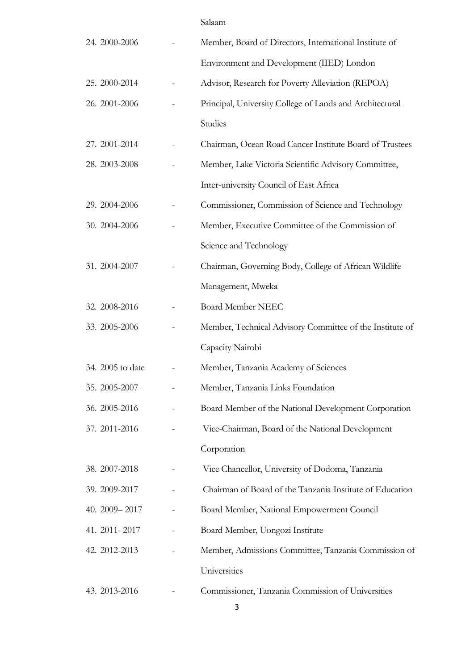|                  | Salaam                                                   |
|------------------|----------------------------------------------------------|
| 24. 2000-2006    | Member, Board of Directors, International Institute of   |
|                  | Environment and Development (IIED) London                |
| 25. 2000-2014    | Advisor, Research for Poverty Alleviation (REPOA)        |
| 26. 2001-2006    | Principal, University College of Lands and Architectural |
|                  | Studies                                                  |
| 27. 2001-2014    | Chairman, Ocean Road Cancer Institute Board of Trustees  |
| 28. 2003-2008    | Member, Lake Victoria Scientific Advisory Committee,     |
|                  | Inter-university Council of East Africa                  |
| 29. 2004-2006    | Commissioner, Commission of Science and Technology       |
| 30. 2004-2006    | Member, Executive Committee of the Commission of         |
|                  | Science and Technology                                   |
| 31. 2004-2007    | Chairman, Governing Body, College of African Wildlife    |
|                  | Management, Mweka                                        |
| 32. 2008-2016    | <b>Board Member NEEC</b>                                 |
| 33. 2005-2006    | Member, Technical Advisory Committee of the Institute of |
|                  | Capacity Nairobi                                         |
| 34. 2005 to date | Member, Tanzania Academy of Sciences                     |
| 35. 2005-2007    | Member, Tanzania Links Foundation                        |
| 36. 2005-2016    | Board Member of the National Development Corporation     |
| 37. 2011-2016    | Vice-Chairman, Board of the National Development         |
|                  | Corporation                                              |
| 38. 2007-2018    | Vice Chancellor, University of Dodoma, Tanzania          |
| 39. 2009-2017    | Chairman of Board of the Tanzania Institute of Education |
| 40. 2009 - 2017  | Board Member, National Empowerment Council               |
| 41. 2011 - 2017  | Board Member, Uongozi Institute                          |
| 42. 2012-2013    | Member, Admissions Committee, Tanzania Commission of     |
|                  | Universities                                             |
| 43. 2013-2016    | Commissioner, Tanzania Commission of Universities<br>3   |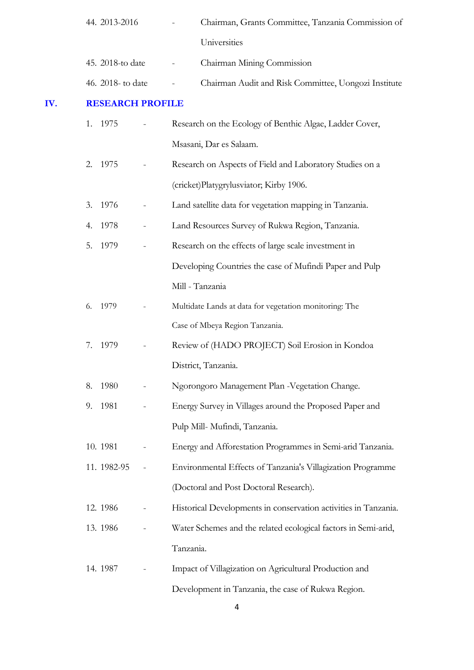|     |    | 44. 2013-2016           |                          | Chairman, Grants Committee, Tanzania Commission of              |
|-----|----|-------------------------|--------------------------|-----------------------------------------------------------------|
|     |    |                         |                          | Universities                                                    |
|     |    | 45. 2018-to date        |                          | Chairman Mining Commission                                      |
|     |    | 46. 2018- to date       |                          | Chairman Audit and Risk Committee, Uongozi Institute            |
| IV. |    | <b>RESEARCH PROFILE</b> |                          |                                                                 |
|     |    | 1. 1975                 |                          | Research on the Ecology of Benthic Algae, Ladder Cover,         |
|     |    |                         |                          | Msasani, Dar es Salaam.                                         |
|     | 2. | 1975                    |                          | Research on Aspects of Field and Laboratory Studies on a        |
|     |    |                         |                          | (cricket)Platygrylusviator; Kirby 1906.                         |
|     | 3. | 1976                    |                          | Land satellite data for vegetation mapping in Tanzania.         |
|     | 4. | 1978                    |                          | Land Resources Survey of Rukwa Region, Tanzania.                |
|     | 5. | 1979                    |                          | Research on the effects of large scale investment in            |
|     |    |                         |                          | Developing Countries the case of Mufindi Paper and Pulp         |
|     |    |                         |                          | Mill - Tanzania                                                 |
|     | 6. | 1979                    | $\overline{\phantom{0}}$ | Multidate Lands at data for vegetation monitoring: The          |
|     |    |                         |                          | Case of Mbeya Region Tanzania.                                  |
|     |    | 7. 1979                 | $\overline{\phantom{0}}$ | Review of (HADO PROJECT) Soil Erosion in Kondoa                 |
|     |    |                         |                          | District, Tanzania.                                             |
|     | 8. | 1980                    |                          | Ngorongoro Management Plan - Vegetation Change.                 |
|     |    | 9. 1981                 |                          | Energy Survey in Villages around the Proposed Paper and         |
|     |    |                         |                          | Pulp Mill- Mufindi, Tanzania.                                   |
|     |    | 10.1981                 |                          | Energy and Afforestation Programmes in Semi-arid Tanzania.      |
|     |    | 11. 1982-95             |                          | Environmental Effects of Tanzania's Villagization Programme     |
|     |    |                         |                          | (Doctoral and Post Doctoral Research).                          |
|     |    | 12.1986                 |                          | Historical Developments in conservation activities in Tanzania. |
|     |    | 13.1986                 |                          | Water Schemes and the related ecological factors in Semi-arid,  |
|     |    |                         |                          | Tanzania.                                                       |
|     |    | 14.1987                 |                          | Impact of Villagization on Agricultural Production and          |
|     |    |                         |                          | Development in Tanzania, the case of Rukwa Region.              |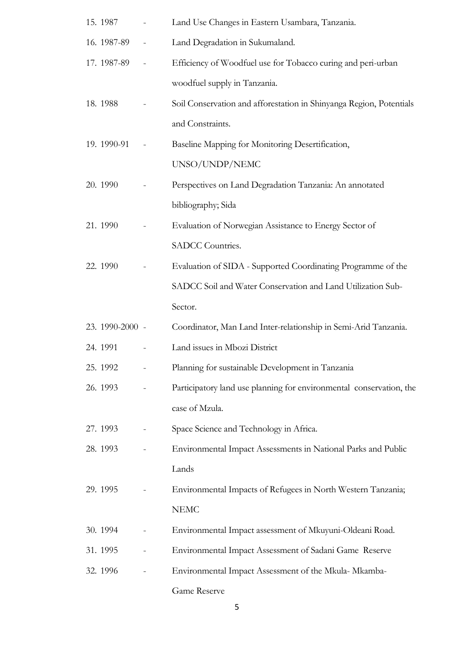| 15. 1987        |                              | Land Use Changes in Eastern Usambara, Tanzania.                     |
|-----------------|------------------------------|---------------------------------------------------------------------|
| 16. 1987-89     | $\qquad \qquad \blacksquare$ | Land Degradation in Sukumaland.                                     |
| 17. 1987-89     | $\frac{1}{2}$                | Efficiency of Woodfuel use for Tobacco curing and peri-urban        |
|                 |                              | woodfuel supply in Tanzania.                                        |
| 18.1988         |                              | Soil Conservation and afforestation in Shinyanga Region, Potentials |
|                 |                              | and Constraints.                                                    |
| 19. 1990-91     |                              | Baseline Mapping for Monitoring Desertification,                    |
|                 |                              | UNSO/UNDP/NEMC                                                      |
| 20. 1990        |                              | Perspectives on Land Degradation Tanzania: An annotated             |
|                 |                              | bibliography; Sida                                                  |
| 21.1990         |                              | Evaluation of Norwegian Assistance to Energy Sector of              |
|                 |                              | SADCC Countries.                                                    |
| 22. 1990        |                              | Evaluation of SIDA - Supported Coordinating Programme of the        |
|                 |                              | SADCC Soil and Water Conservation and Land Utilization Sub-         |
|                 |                              | Sector.                                                             |
| 23. 1990-2000 - |                              | Coordinator, Man Land Inter-relationship in Semi-Arid Tanzania.     |
| 24. 1991        |                              | Land issues in Mbozi District                                       |
| 25. 1992        |                              | Planning for sustainable Development in Tanzania                    |
| 26. 1993        |                              | Participatory land use planning for environmental conservation, the |
|                 |                              | case of Mzula.                                                      |
| 27.1993         |                              | Space Science and Technology in Africa.                             |
| 28. 1993        |                              | Environmental Impact Assessments in National Parks and Public       |
|                 |                              | Lands                                                               |
| 29. 1995        |                              | Environmental Impacts of Refugees in North Western Tanzania;        |
|                 |                              | <b>NEMC</b>                                                         |
| 30.1994         |                              | Environmental Impact assessment of Mkuyuni-Oldeani Road.            |
| 31. 1995        |                              | Environmental Impact Assessment of Sadani Game Reserve              |
| 32. 1996        |                              | Environmental Impact Assessment of the Mkula- Mkamba-               |
|                 |                              | Game Reserve                                                        |

5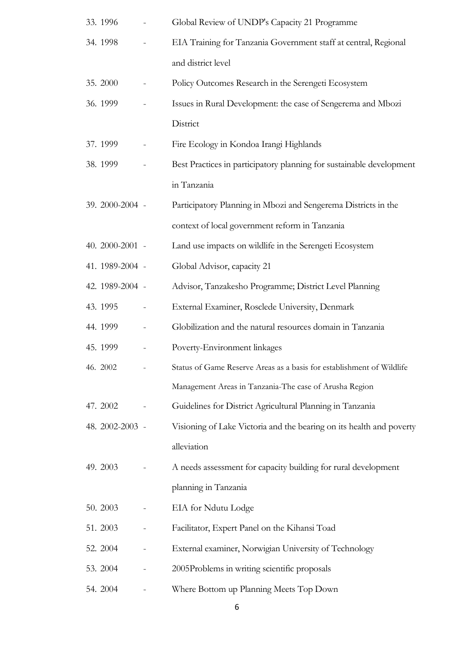| 33.1996         | Global Review of UNDP's Capacity 21 Programme                         |
|-----------------|-----------------------------------------------------------------------|
| 34. 1998        | EIA Training for Tanzania Government staff at central, Regional       |
|                 | and district level                                                    |
| 35. 2000        | Policy Outcomes Research in the Serengeti Ecosystem                   |
| 36.1999         | Issues in Rural Development: the case of Sengerema and Mbozi          |
|                 | District                                                              |
| 37.1999         | Fire Ecology in Kondoa Irangi Highlands                               |
| 38.1999         | Best Practices in participatory planning for sustainable development  |
|                 | in Tanzania                                                           |
| 39. 2000-2004 - | Participatory Planning in Mbozi and Sengerema Districts in the        |
|                 | context of local government reform in Tanzania                        |
| 40. 2000-2001 - | Land use impacts on wildlife in the Serengeti Ecosystem               |
| 41. 1989-2004 - | Global Advisor, capacity 21                                           |
| 42. 1989-2004 - | Advisor, Tanzakesho Programme; District Level Planning                |
| 43. 1995        | External Examiner, Rosclede University, Denmark                       |
| 44. 1999        | Globilization and the natural resources domain in Tanzania            |
| 45. 1999        | Poverty-Environment linkages                                          |
| 46. 2002        | Status of Game Reserve Areas as a basis for establishment of Wildlife |
|                 | Management Areas in Tanzania-The case of Arusha Region                |
| 47. 2002        | Guidelines for District Agricultural Planning in Tanzania             |
| 48. 2002-2003 - | Visioning of Lake Victoria and the bearing on its health and poverty  |
|                 | alleviation                                                           |
| 49. 2003        | A needs assessment for capacity building for rural development        |
|                 | planning in Tanzania                                                  |
| 50. 2003        | EIA for Ndutu Lodge                                                   |
| 51. 2003        | Facilitator, Expert Panel on the Kihansi Toad                         |
| 52. 2004        | External examiner, Norwigian University of Technology                 |
| 53. 2004        | 2005Problems in writing scientific proposals                          |
| 54. 2004        | Where Bottom up Planning Meets Top Down                               |

6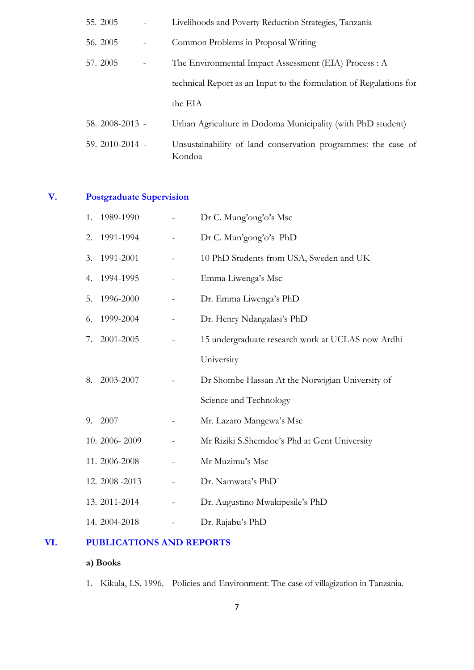| 55. 2005        | Livelihoods and Poverty Reduction Strategies, Tanzania                  |
|-----------------|-------------------------------------------------------------------------|
| 56. 2005        | Common Problems in Proposal Writing                                     |
| 57.2005         | The Environmental Impact Assessment (EIA) Process : A                   |
|                 | technical Report as an Input to the formulation of Regulations for      |
|                 | the EIA                                                                 |
| 58. 2008-2013 - | Urban Agriculture in Dodoma Municipality (with PhD student)             |
| 59. 2010-2014 - | Unsustainability of land conservation programmes: the case of<br>Kondoa |

## **V. Postgraduate Supervision**

| 1. | 1989-1990       |                          | Dr C. Mung'ong'o's Msc                            |
|----|-----------------|--------------------------|---------------------------------------------------|
| 2. | 1991-1994       |                          | Dr C. Mun'gong'o's PhD                            |
| 3. | 1991-2001       |                          | 10 PhD Students from USA, Sweden and UK           |
| 4. | 1994-1995       |                          | Emma Liwenga's Msc                                |
| 5. | 1996-2000       | -                        | Dr. Emma Liwenga's PhD                            |
| 6. | 1999-2004       | $\overline{\phantom{0}}$ | Dr. Henry Ndangalasi's PhD                        |
| 7. | 2001-2005       |                          | 15 undergraduate research work at UCLAS now Ardhi |
|    |                 |                          | University                                        |
| 8. | 2003-2007       |                          | Dr Shombe Hassan At the Norwigian University of   |
|    |                 |                          | Science and Technology                            |
| 9. | 2007            |                          | Mr. Lazaro Mangewa's Msc                          |
|    | 10. 2006-2009   |                          | Mr Riziki S.Shemdoe's Phd at Gent University      |
|    | 11. 2006-2008   |                          | Mr Muzimu's Msc                                   |
|    | 12. 2008 - 2013 |                          | Dr. Namwata's PhD'                                |
|    | 13. 2011-2014   |                          | Dr. Augustino Mwakipesile's PhD                   |
|    | 14. 2004-2018   |                          | Dr. Rajabu's PhD                                  |

## **VI. PUBLICATIONS AND REPORTS**

## **a) Books**

1. Kikula, I.S. 1996. Policies and Environment: The case of villagization in Tanzania.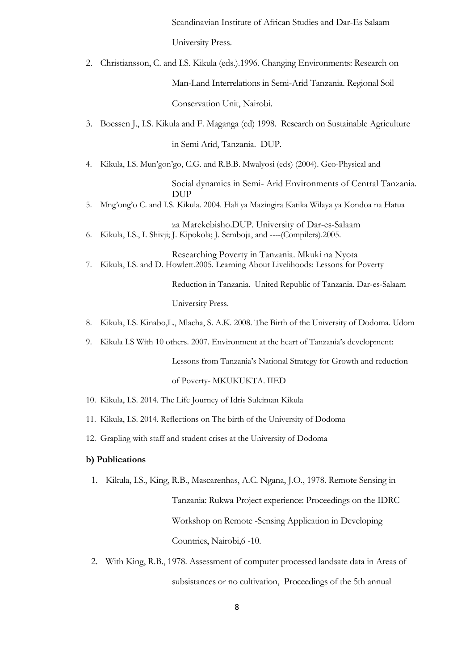Scandinavian Institute of African Studies and Dar-Es Salaam University Press.

2. Christiansson, C. and I.S. Kikula (eds.).1996. Changing Environments: Research on

Man-Land Interrelations in Semi-Arid Tanzania. Regional Soil

Conservation Unit, Nairobi.

3. Boessen J., I.S. Kikula and F. Maganga (ed) 1998. Research on Sustainable Agriculture

in Semi Arid, Tanzania. DUP.

4. Kikula, I.S. Mun'gon'go, C.G. and R.B.B. Mwalyosi (eds) (2004). Geo-Physical and

Social dynamics in Semi- Arid Environments of Central Tanzania. DUP

5. Mng'ong'o C. and I.S. Kikula. 2004. Hali ya Mazingira Katika Wilaya ya Kondoa na Hatua

za Marekebisho.DUP. University of Dar-es-Salaam 6. Kikula, I.S., I. Shivji; J. Kipokola; J. Semboja, and ----(Compilers).2005.

Researching Poverty in Tanzania. Mkuki na Nyota 7. Kikula, I.S. and D. Howlett.2005. Learning About Livelihoods: Lessons for Poverty

> Reduction in Tanzania. United Republic of Tanzania. Dar-es-Salaam University Press.

- 8. Kikula, I.S. Kinabo,L., Mlacha, S. A.K. 2008. The Birth of the University of Dodoma. Udom
- 9. Kikula I.S With 10 others. 2007. Environment at the heart of Tanzania's development:

Lessons from Tanzania's National Strategy for Growth and reduction

of Poverty- MKUKUKTA. IIED

- 10. Kikula, I.S. 2014. The Life Journey of Idris Suleiman Kikula
- 11. Kikula, I.S. 2014. Reflections on The birth of the University of Dodoma
- 12. Grapling with staff and student crises at the University of Dodoma

#### **b) Publications**

1. Kikula, I.S., King, R.B., Mascarenhas, A.C. Ngana, J.O., 1978. Remote Sensing in

Tanzania: Rukwa Project experience: Proceedings on the IDRC Workshop on Remote -Sensing Application in Developing Countries, Nairobi,6 -10.

2. With King, R.B., 1978. Assessment of computer processed landsate data in Areas of subsistances or no cultivation, Proceedings of the 5th annual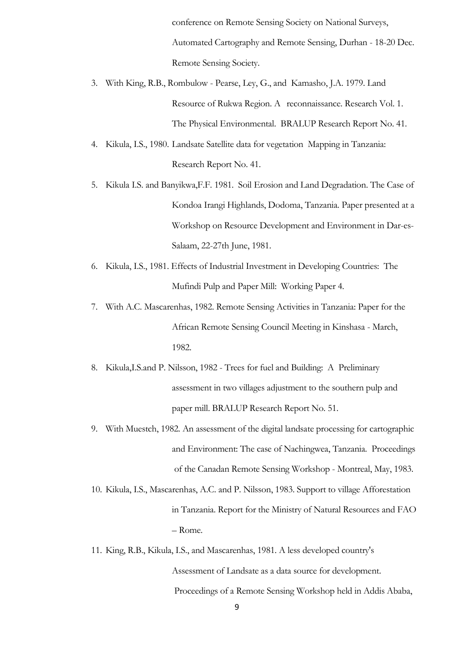conference on Remote Sensing Society on National Surveys, Automated Cartography and Remote Sensing, Durhan - 18-20 Dec. Remote Sensing Society.

- 3. With King, R.B., Rombulow Pearse, Ley, G., and Kamasho, J.A. 1979. Land Resource of Rukwa Region. A reconnaissance. Research Vol. 1. The Physical Environmental. BRALUP Research Report No. 41.
- 4. Kikula, I.S., 1980. Landsate Satellite data for vegetation Mapping in Tanzania: Research Report No. 41.
- 5. Kikula I.S. and Banyikwa,F.F. 1981. Soil Erosion and Land Degradation. The Case of Kondoa Irangi Highlands, Dodoma, Tanzania. Paper presented at a Workshop on Resource Development and Environment in Dar-es-Salaam, 22-27th June, 1981.
- 6. Kikula, I.S., 1981. Effects of Industrial Investment in Developing Countries: The Mufindi Pulp and Paper Mill: Working Paper 4.
- 7. With A.C. Mascarenhas, 1982. Remote Sensing Activities in Tanzania: Paper for the African Remote Sensing Council Meeting in Kinshasa - March, 1982.
- 8. Kikula,I.S.and P. Nilsson, 1982 Trees for fuel and Building: A Preliminary assessment in two villages adjustment to the southern pulp and paper mill. BRALUP Research Report No. 51.
- 9. With Muestch, 1982. An assessment of the digital landsate processing for cartographic and Environment: The case of Nachingwea, Tanzania. Proceedings of the Canadan Remote Sensing Workshop - Montreal, May, 1983.
- 10. Kikula, I.S., Mascarenhas, A.C. and P. Nilsson, 1983. Support to village Afforestation in Tanzania. Report for the Ministry of Natural Resources and FAO – Rome.
- 11. King, R.B., Kikula, I.S., and Mascarenhas, 1981. A less developed country's Assessment of Landsate as a data source for development. Proceedings of a Remote Sensing Workshop held in Addis Ababa,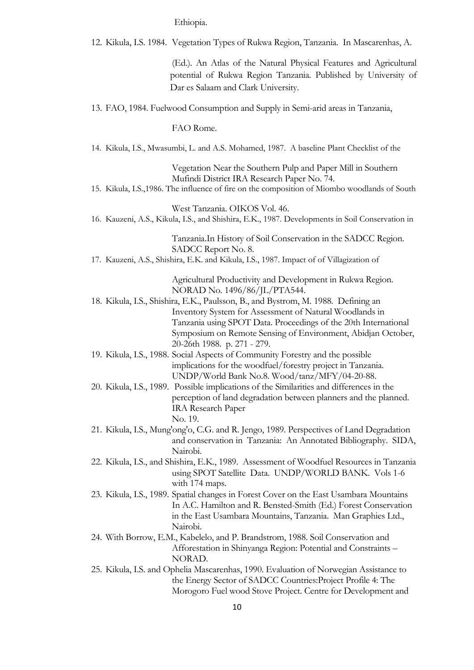Ethiopia.

12. Kikula, I.S. 1984. Vegetation Types of Rukwa Region, Tanzania. In Mascarenhas, A.

(Ed.). An Atlas of the Natural Physical Features and Agricultural potential of Rukwa Region Tanzania. Published by University of Dar es Salaam and Clark University.

13. FAO, 1984. Fuelwood Consumption and Supply in Semi-arid areas in Tanzania,

FAO Rome.

14. Kikula, I.S., Mwasumbi, L. and A.S. Mohamed, 1987. A baseline Plant Checklist of the

Vegetation Near the Southern Pulp and Paper Mill in Southern Mufindi District IRA Research Paper No. 74.

15. Kikula, I.S.,1986. The influence of fire on the composition of Miombo woodlands of South

West Tanzania. OIKOS Vol. 46.

16. Kauzeni, A.S., Kikula, I.S., and Shishira, E.K., 1987. Developments in Soil Conservation in

Tanzania.In History of Soil Conservation in the SADCC Region. SADCC Report No. 8.

17. Kauzeni, A.S., Shishira, E.K. and Kikula, I.S., 1987. Impact of of Villagization of

Agricultural Productivity and Development in Rukwa Region. NORAD No. 1496/86/JL/PTA544.

- 18. Kikula, I.S., Shishira, E.K., Paulsson, B., and Bystrom, M. 1988. Defining an Inventory System for Assessment of Natural Woodlands in Tanzania using SPOT Data. Proceedings of the 20th International Symposium on Remote Sensing of Environment, Abidjan October, 20-26th 1988. p. 271 - 279.
- 19. Kikula, I.S., 1988. Social Aspects of Community Forestry and the possible implications for the woodfuel/forestry project in Tanzania. UNDP/World Bank No.8. Wood/tanz/MFY/04-20-88.
- 20. Kikula, I.S., 1989. Possible implications of the Similarities and differences in the perception of land degradation between planners and the planned. IRA Research Paper No. 19.
- 21. Kikula, I.S., Mung'ong'o, C.G. and R. Jengo, 1989. Perspectives of Land Degradation and conservation in Tanzania: An Annotated Bibliography. SIDA, Nairobi.
- 22. Kikula, I.S., and Shishira, E.K., 1989. Assessment of Woodfuel Resources in Tanzania using SPOT Satellite Data. UNDP/WORLD BANK. Vols 1-6 with 174 maps.
- 23. Kikula, I.S., 1989. Spatial changes in Forest Cover on the East Usambara Mountains In A.C. Hamilton and R. Bensted-Smith (Ed.) Forest Conservation in the East Usambara Mountains, Tanzania. Man Graphies Ltd., Nairobi.
- 24. With Borrow, E.M., Kabelelo, and P. Brandstrom, 1988. Soil Conservation and Afforestation in Shinyanga Region: Potential and Constraints – NORAD.
- 25. Kikula, I.S. and Ophelia Mascarenhas, 1990. Evaluation of Norwegian Assistance to the Energy Sector of SADCC Countries:Project Profile 4: The Morogoro Fuel wood Stove Project. Centre for Development and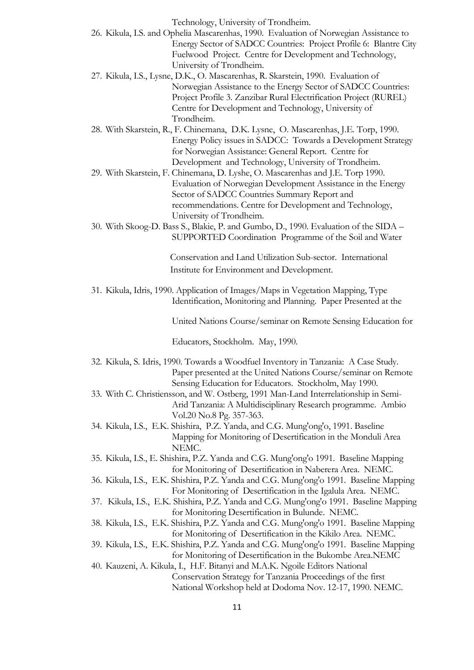Technology, University of Trondheim.

- 26. Kikula, I.S. and Ophelia Mascarenhas, 1990. Evaluation of Norwegian Assistance to Energy Sector of SADCC Countries: Project Profile 6: Blantre City Fuelwood Project. Centre for Development and Technology, University of Trondheim.
- 27. Kikula, I.S., Lysne, D.K., O. Mascarenhas, R. Skarstein, 1990. Evaluation of Norwegian Assistance to the Energy Sector of SADCC Countries: Project Profile 3. Zanzibar Rural Electrification Project (RUREL) Centre for Development and Technology, University of Trondheim.
- 28. With Skarstein, R., F. Chinemana, D.K. Lysne, O. Mascarenhas, J.E. Torp, 1990. Energy Policy issues in SADCC: Towards a Development Strategy for Norwegian Assistance: General Report. Centre for Development and Technology, University of Trondheim.
- 29. With Skarstein, F. Chinemana, D. Lyshe, O. Mascarenhas and J.E. Torp 1990. Evaluation of Norwegian Development Assistance in the Energy Sector of SADCC Countries Summary Report and recommendations. Centre for Development and Technology, University of Trondheim.
- 30. With Skoog-D. Bass S., Blakie, P. and Gumbo, D., 1990. Evaluation of the SIDA SUPPORTED Coordination Programme of the Soil and Water

Conservation and Land Utilization Sub-sector. International Institute for Environment and Development.

31. Kikula, Idris, 1990. Application of Images/Maps in Vegetation Mapping, Type Identification, Monitoring and Planning. Paper Presented at the

United Nations Course/seminar on Remote Sensing Education for

Educators, Stockholm. May, 1990.

- 32. Kikula, S. Idris, 1990. Towards a Woodfuel Inventory in Tanzania: A Case Study. Paper presented at the United Nations Course/seminar on Remote Sensing Education for Educators. Stockholm, May 1990.
- 33. With C. Christiensson, and W. Ostberg, 1991 Man-Land Interrelationship in Semi-Arid Tanzania: A Multidisciplinary Research programme. Ambio Vol.20 No.8 Pg. 357-363.
- 34. Kikula, I.S., E.K. Shishira, P.Z. Yanda, and C.G. Mung'ong'o, 1991. Baseline Mapping for Monitoring of Desertification in the Monduli Area NEMC.
- 35. Kikula, I.S., E. Shishira, P.Z. Yanda and C.G. Mung'ong'o 1991. Baseline Mapping for Monitoring of Desertification in Naberera Area. NEMC.
- 36. Kikula, I.S., E.K. Shishira, P.Z. Yanda and C.G. Mung'ong'o 1991. Baseline Mapping For Monitoring of Desertification in the Igalula Area. NEMC.
- 37. Kikula, I.S., E.K. Shishira, P.Z. Yanda and C.G. Mung'ong'o 1991. Baseline Mapping for Monitoring Desertification in Bulunde. NEMC.
- 38. Kikula, I.S., E.K. Shishira, P.Z. Yanda and C.G. Mung'ong'o 1991. Baseline Mapping for Monitoring of Desertification in the Kikilo Area. NEMC.
- 39. Kikula, I.S., E.K. Shishira, P.Z. Yanda and C.G. Mung'ong'o 1991. Baseline Mapping for Monitoring of Desertification in the Bukombe Area.NEMC
- 40. Kauzeni, A. Kikula, I., H.F. Bitanyi and M.A.K. Ngoile Editors National Conservation Strategy for Tanzania Proceedings of the first

National Workshop held at Dodoma Nov. 12-17, 1990. NEMC.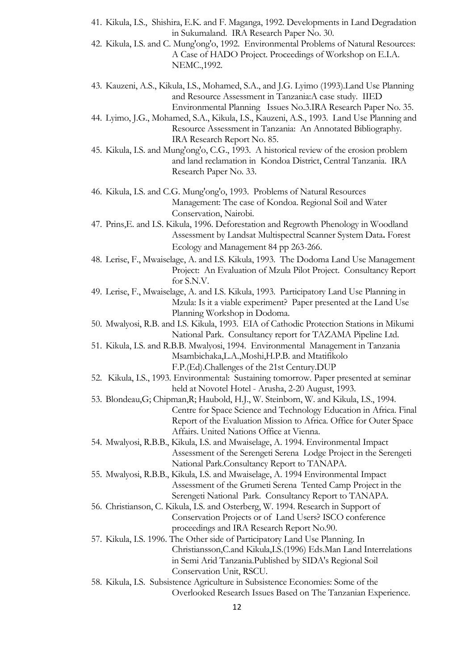- 41. Kikula, I.S., Shishira, E.K. and F. Maganga, 1992. Developments in Land Degradation in Sukumaland. IRA Research Paper No. 30.
- 42. Kikula, I.S. and C. Mung'ong'o, 1992. Environmental Problems of Natural Resources: A Case of HADO Project. Proceedings of Workshop on E.I.A. NEMC.,1992.
- 43. Kauzeni, A.S., Kikula, I.S., Mohamed, S.A., and J.G. Lyimo (1993).Land Use Planning and Resource Assessment in Tanzania:A case study. IIED Environmental Planning Issues No.3.IRA Research Paper No. 35.
- 44. Lyimo, J.G., Mohamed, S.A., Kikula, I.S., Kauzeni, A.S., 1993. Land Use Planning and Resource Assessment in Tanzania: An Annotated Bibliography. IRA Research Report No. 85.
- 45. Kikula, I.S. and Mung'ong'o, C.G., 1993. A historical review of the erosion problem and land reclamation in Kondoa District, Central Tanzania. IRA Research Paper No. 33.
- 46. Kikula, I.S. and C.G. Mung'ong'o, 1993. Problems of Natural Resources Management: The case of Kondoa. Regional Soil and Water Conservation, Nairobi.
- 47. Prins,E. and I.S. Kikula, 1996. Deforestation and Regrowth Phenology in Woodland Assessment by Landsat Multispectral Scanner System Data**.** Forest Ecology and Management 84 pp 263-266.
- 48. Lerise, F., Mwaiselage, A. and I.S. Kikula, 1993. The Dodoma Land Use Management Project: An Evaluation of Mzula Pilot Project. Consultancy Report for S.N.V.
- 49. Lerise, F., Mwaiselage, A. and I.S. Kikula, 1993. Participatory Land Use Planning in Mzula: Is it a viable experiment? Paper presented at the Land Use Planning Workshop in Dodoma.
- 50. Mwalyosi, R.B. and I.S. Kikula, 1993. EIA of Cathodic Protection Stations in Mikumi National Park. Consultancy report for TAZAMA Pipeline Ltd.
- 51. Kikula, I.S. and R.B.B. Mwalyosi, 1994. Environmental Management in Tanzania Msambichaka,L.A.,Moshi,H.P.B. and Mtatifikolo F.P.(Ed).Challenges of the 21st Century.DUP
- 52. Kikula, I.S., 1993. Environmental: Sustaining tomorrow. Paper presented at seminar held at Novotel Hotel - Arusha, 2-20 August, 1993.
- 53. Blondeau,G; Chipman,R; Haubold, H.J., W. Steinborn, W. and Kikula, I.S., 1994. Centre for Space Science and Technology Education in Africa. Final Report of the Evaluation Mission to Africa. Office for Outer Space Affairs. United Nations Office at Vienna.
- 54. Mwalyosi, R.B.B., Kikula, I.S. and Mwaiselage, A. 1994. Environmental Impact Assessment of the Serengeti Serena Lodge Project in the Serengeti National Park.Consultancy Report to TANAPA.
- 55. Mwalyosi, R.B.B., Kikula, I.S. and Mwaiselage, A. 1994 Environmental Impact Assessment of the Grumeti Serena Tented Camp Project in the Serengeti National Park. Consultancy Report to TANAPA.
- 56. Christianson, C. Kikula, I.S. and Osterberg, W. 1994. Research in Support of Conservation Projects or of Land Users? ISCO conference proceedings and IRA Research Report No.90.
- 57. Kikula, I.S. 1996. The Other side of Participatory Land Use Planning. In Christiansson,C.and Kikula,I.S.(1996) Eds.Man Land Interrelations in Semi Arid Tanzania.Published by SIDA's Regional Soil Conservation Unit, RSCU.
- 58. Kikula, I.S. Subsistence Agriculture in Subsistence Economies: Some of the Overlooked Research Issues Based on The Tanzanian Experience.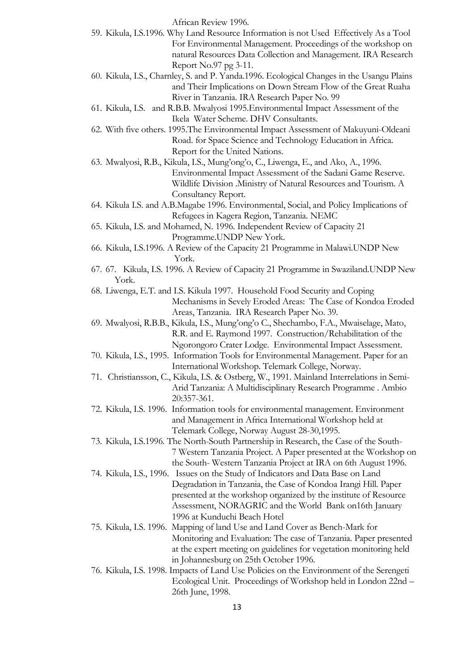African Review 1996.

- 59. Kikula, I.S.1996. Why Land Resource Information is not Used Effectively As a Tool For Environmental Management. Proceedings of the workshop on natural Resources Data Collection and Management. IRA Research Report No.97 pg 3-11.
- 60. Kikula, I.S., Charnley, S. and P. Yanda.1996. Ecological Changes in the Usangu Plains and Their Implications on Down Stream Flow of the Great Ruaha River in Tanzania. IRA Research Paper No. 99
- 61. Kikula, I.S. and R.B.B. Mwalyosi 1995.Environmental Impact Assessment of the Ikela Water Scheme. DHV Consultants.
- 62. With five others. 1995.The Environmental Impact Assessment of Makuyuni-Oldeani Road. for Space Science and Technology Education in Africa. Report for the United Nations.
- 63. Mwalyosi, R.B., Kikula, I.S., Mung'ong'o, C., Liwenga, E., and Ako, A., 1996. Environmental Impact Assessment of the Sadani Game Reserve. Wildlife Division .Ministry of Natural Resources and Tourism. A Consultancy Report.
- 64. Kikula I.S. and A.B.Magabe 1996. Environmental, Social, and Policy Implications of Refugees in Kagera Region, Tanzania. NEMC
- 65. Kikula, I.S. and Mohamed, N. 1996. Independent Review of Capacity 21 Programme.UNDP New York.
- 66. Kikula, I.S.1996. A Review of the Capacity 21 Programme in Malawi.UNDP New York.
- 67. 67. Kikula, I.S. 1996. A Review of Capacity 21 Programme in Swaziland.UNDP New York.
- 68. Liwenga, E.T. and I.S. Kikula 1997. Household Food Security and Coping Mechanisms in Sevely Eroded Areas: The Case of Kondoa Eroded Areas, Tanzania. IRA Research Paper No. 39.
- 69. Mwalyosi, R.B.B., Kikula, I.S., Mung'ong'o C., Shechambo, F.A., Mwaiselage, Mato, R.R. and E. Raymond 1997. Construction/Rehabilitation of the Ngorongoro Crater Lodge. Environmental Impact Assessment.
- 70. Kikula, I.S., 1995. Information Tools for Environmental Management. Paper for an International Workshop. Telemark College, Norway.
- 71. Christiansson, C., Kikula, I.S. & Ostberg, W., 1991. Mainland Interrelations in Semi-Arid Tanzania: A Multidisciplinary Research Programme . Ambio 20:357-361.
- 72. Kikula, I.S. 1996. Information tools for environmental management. Environment and Management in Africa International Workshop held at Telemark College, Norway August 28-30,1995.
- 73. Kikula, I.S.1996. The North-South Partnership in Research, the Case of the South-7 Western Tanzania Project. A Paper presented at the Workshop on the South- Western Tanzania Project at IRA on 6th August 1996.
- 74. Kikula, I.S., 1996. Issues on the Study of Indicators and Data Base on Land Degradation in Tanzania, the Case of Kondoa Irangi Hill. Paper presented at the workshop organized by the institute of Resource Assessment, NORAGRIC and the World Bank on16th January 1996 at Kunduchi Beach Hotel
- 75. Kikula, I.S. 1996. Mapping of land Use and Land Cover as Bench-Mark for Monitoring and Evaluation: The case of Tanzania. Paper presented at the expert meeting on guidelines for vegetation monitoring held in Johannesburg on 25th October 1996.
- 76. Kikula, I.S. 1998. Impacts of Land Use Policies on the Environment of the Serengeti Ecological Unit. Proceedings of Workshop held in London 22nd – 26th June, 1998.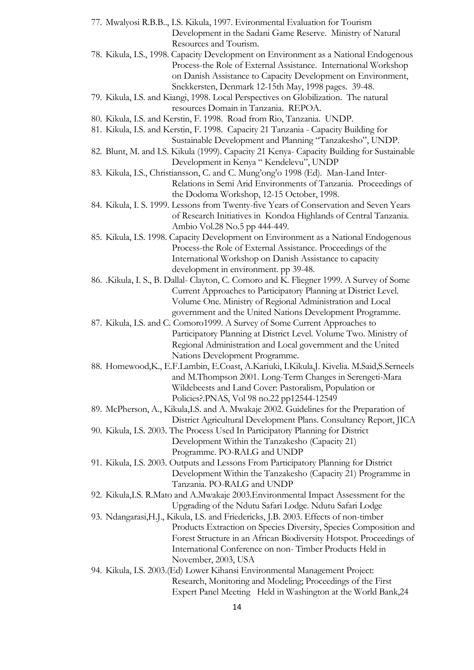- 77. Mwalyosi R.B.B.., I.S. Kikula, 1997. Evironmental Evaluation for Tourism Development in the Sadani Game Reserve. Ministry of Natural Resources and Tourism. 78. Kikula, I.S., 1998. Capacity Development on Environment as a National Endogenous Process-the Role of External Assistance. International Workshop on Danish Assistance to Capacity Development on Environment, Snekkersten, Denmark 12-15th May, 1998 pages. 39-48. 79. Kikula, I.S. and Kiangi, 1998. Local Perspectives on Globilization. The natural resources Domain in Tanzania. REPOA. 80. Kikula, I.S. and Kerstin, F. 1998. Road from Rio, Tanzania. UNDP. 81. Kikula, I.S. and Kerstin, F. 1998. Capacity 21 Tanzania - Capacity Building for Sustainable Development and Planning "Tanzakesho", UNDP. 82. Blunt, M. and I.S. Kikula (1999). Capacity 21 Kenya- Capacity Building for Sustainable Development in Kenya " Kendelevu", UNDP 83. Kikula, I.S., Christiansson, C. and C. Mung'ong'o 1998 (Ed). Man-Land Inter-Relations in Semi Arid Environments of Tanzania. Proceedings of the Dodoma Workshop, 12-15 October, 1998. 84. Kikula, I. S. 1999. Lessons from Twenty-five Years of Conservation and Seven Years of Research Initiatives in Kondoa Highlands of Central Tanzania. Ambio Vol.28 No.5 pp 444-449. 85. Kikula, I.S. 1998. Capacity Development on Environment as a National Endogenous Process-the Role of External Assistance. Proceedings of the International Workshop on Danish Assistance to capacity development in environment. pp 39-48. 86. .Kikula, I. S., B. Dallal- Clayton, C. Comoro and K. Fliegner 1999. A Survey of Some Current Approaches to Participatory Planning at District Level. Volume One. Ministry of Regional Administration and Local government and the United Nations Development Programme. 87. Kikula, I.S. and C. Comoro1999. A Survey of Some Current Approaches to Participatory Planning at District Level. Volume Two. Ministry of Regional Administration and Local government and the United Nations Development Programme. 88. Homewood,K., E.F.Lambin, E.Coast, A.Kariuki, I.Kikula,J. Kivelia. M.Said,S.Serneels and M.Thompson 2001. Long-Term Changes in Serengeti-Mara Wildebeests and Land Cover: Pastoralism, Population or Policies?.PNAS, Vol 98 no.22 pp12544-12549 89. McPherson, A., Kikula,I.S. and A. Mwakaje 2002. Guidelines for the Preparation of District Agricultural Development Plans. Consultancy Report, JICA 90. Kikula, I.S. 2003. The Process Used In Participatory Planning for District Development Within the Tanzakesho (Capacity 21) Programme. PO-RALG and UNDP 91. Kikula, I.S. 2003. Outputs and Lessons From Participatory Planning for District Development Within the Tanzakesho (Capacity 21) Programme in Tanzania. PO-RALG and UNDP 92. Kikula,I.S. R.Mato and A.Mwakaje 2003.Environmental Impact Assessment for the Upgrading of the Ndutu Safari Lodge. Ndutu Safari Lodge 93. Ndangarasi,H.J., Kikula, I.S. and Friedericks, J.B. 2003. Effects of non-timber Products Extraction on Species Diversity, Species Composition and Forest Structure in an African Biodiversity Hotspot. Proceedings of International Conference on non- Timber Products Held in November, 2003, USA 94. Kikula, I.S. 2003.(Ed) Lower Kihansi Environmental Management Project: Research, Monitoring and Modeling; Proceedings of the First Expert Panel Meeting Held in Washington at the World Bank,24
	- 14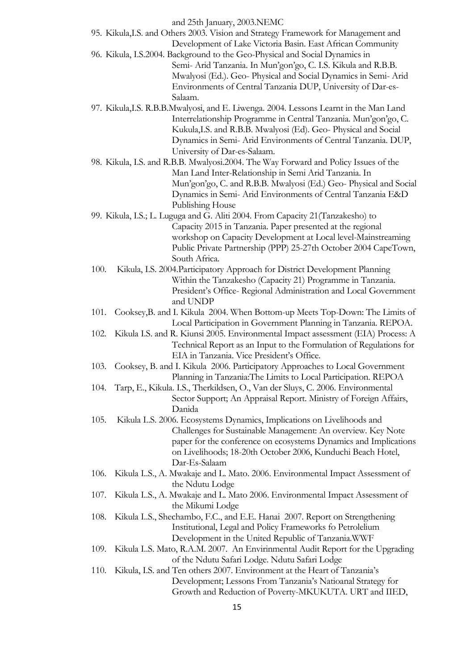and 25th January, 2003.NEMC

- 95. Kikula,I.S. and Others 2003. Vision and Strategy Framework for Management and Development of Lake Victoria Basin. East African Community
- 96. Kikula, I.S.2004. Background to the Geo-Physical and Social Dynamics in Semi- Arid Tanzania. In Mun'gon'go, C. I.S. Kikula and R.B.B. Mwalyosi (Ed.). Geo- Physical and Social Dynamics in Semi- Arid Environments of Central Tanzania DUP, University of Dar-es-Salaam.
- 97. Kikula,I.S. R.B.B.Mwalyosi, and E. Liwenga. 2004. Lessons Learnt in the Man Land Interrelationship Programme in Central Tanzania. Mun'gon'go, C. Kukula,I.S. and R.B.B. Mwalyosi (Ed). Geo- Physical and Social Dynamics in Semi- Arid Environments of Central Tanzania. DUP, University of Dar-es-Salaam.
- 98. Kikula, I.S. and R.B.B. Mwalyosi.2004. The Way Forward and Policy Issues of the Man Land Inter-Relationship in Semi Arid Tanzania. In Mun'gon'go, C. and R.B.B. Mwalyosi (Ed.) Geo- Physical and Social Dynamics in Semi- Arid Environments of Central Tanzania E&D Publishing House
- 99. Kikula, I.S.; L. Luguga and G. Aliti 2004. From Capacity 21(Tanzakesho) to Capacity 2015 in Tanzania. Paper presented at the regional workshop on Capacity Development at Local level-Mainstreaming Public Private Partnership (PPP) 25-27th October 2004 CapeTown, South Africa.
- 100. Kikula, I.S. 2004.Participatory Approach for District Development Planning Within the Tanzakesho (Capacity 21) Programme in Tanzania. President's Office- Regional Administration and Local Government and UNDP
- 101. Cooksey,B. and I. Kikula 2004. When Bottom-up Meets Top-Down: The Limits of Local Participation in Government Planning in Tanzania. REPOA.
- 102. Kikula I.S. and R. Kiunsi 2005. Environmental Impact assessment (EIA) Process: A Technical Report as an Input to the Formulation of Regulations for EIA in Tanzania. Vice President's Office.
- 103. Cooksey, B. and I. Kikula 2006. Participatory Approaches to Local Government Planning in Tanzania:The Limits to Local Participation. REPOA
- 104. Tarp, E., Kikula. I.S., Therkildsen, O., Van der Sluys, C. 2006. Environmental Sector Support; An Appraisal Report. Ministry of Foreign Affairs, Danida
- 105. Kikula I..S. 2006. Ecosystems Dynamics, Implications on Livelihoods and Challenges for Sustainable Management: An overview. Key Note paper for the conference on ecosystems Dynamics and Implications on Livelihoods; 18-20th October 2006, Kunduchi Beach Hotel, Dar-Es-Salaam
- 106. Kikula I..S., A. Mwakaje and L. Mato. 2006. Environmental Impact Assessment of the Ndutu Lodge
- 107. Kikula I..S., A. Mwakaje and L. Mato 2006. Environmental Impact Assessment of the Mikumi Lodge
- 108. Kikula I..S., Shechambo, F.C., and E.E. Hanai 2007. Report on Strengthening Institutional, Legal and Policy Frameworks fo Petrolelium Development in the United Republic of Tanzania.WWF
- 109. Kikula I..S. Mato, R.A.M. 2007. An Envirinmental Audit Report for the Upgrading of the Ndutu Safari Lodge. Ndutu Safari Lodge
- 110. Kikula, I.S. and Ten others 2007. Environment at the Heart of Tanzania's Development; Lessons From Tanzania's Natioanal Strategy for Growth and Reduction of Poverty-MKUKUTA. URT and IIED,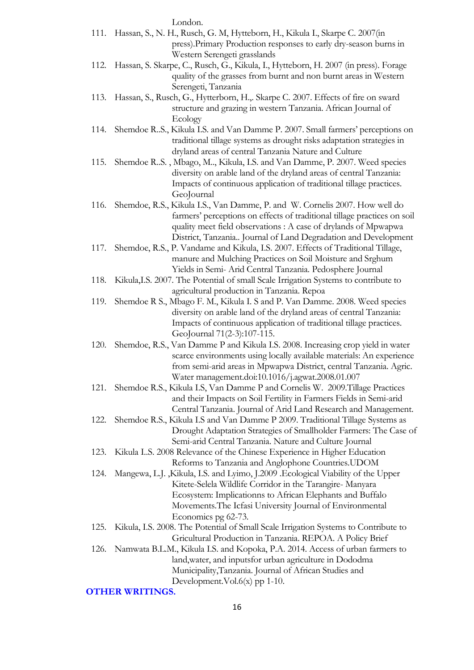London.

|      | 111. Hassan, S., N. H., Rusch, G. M, Hytteborn, H., Kikula I., Skarpe C. 2007(in                                                                        |
|------|---------------------------------------------------------------------------------------------------------------------------------------------------------|
|      | press). Primary Production responses to early dry-season burns in                                                                                       |
|      | Western Serengeti grasslands                                                                                                                            |
| 112. | Hassan, S. Skarpe, C., Rusch, G., Kikula, I., Hytteborn, H. 2007 (in press). Forage<br>quality of the grasses from burnt and non burnt areas in Western |
|      | Serengeti, Tanzania                                                                                                                                     |
| 113. | Hassan, S., Rusch, G., Hytterborn, H.,. Skarpe C. 2007. Effects of fire on sward                                                                        |
|      | structure and grazing in western Tanzania. African Journal of                                                                                           |
|      | Ecology                                                                                                                                                 |
| 114. | Shemdoe R.S., Kikula I.S. and Van Damme P. 2007. Small farmers' perceptions on                                                                          |
|      | traditional tillage systems as drought risks adaptation strategies in                                                                                   |
|      | dryland areas of central Tanzania Nature and Culture                                                                                                    |
| 115. | Shemdoe R.S., Mbago, M., Kikula, I.S. and Van Damme, P. 2007. Weed species                                                                              |
|      | diversity on arable land of the dryland areas of central Tanzania:                                                                                      |
|      | Impacts of continuous application of traditional tillage practices.                                                                                     |
|      | GeoJournal                                                                                                                                              |
| 116. | Shemdoe, R.S., Kikula I.S., Van Damme, P. and W. Cornelis 2007. How well do                                                                             |
|      | farmers' perceptions on effects of traditional tillage practices on soil                                                                                |
|      | quality meet field observations : A case of drylands of Mpwapwa                                                                                         |
|      | District, Tanzania Journal of Land Degradation and Development                                                                                          |
| 117. | Shemdoe, R.S., P. Vandame and Kikula, I.S. 2007. Effects of Traditional Tillage,                                                                        |
|      | manure and Mulching Practices on Soil Moisture and Srghum                                                                                               |
|      | Yields in Semi- Arid Central Tanzania. Pedosphere Journal                                                                                               |
| 118. | Kikula, I.S. 2007. The Potential of small Scale Irrigation Systems to contribute to                                                                     |
|      | agricultural production in Tanzania. Repoa                                                                                                              |
| 119. | Shemdoe R S., Mbago F. M., Kikula I. S and P. Van Damme. 2008. Weed species                                                                             |
|      | diversity on arable land of the dryland areas of central Tanzania:                                                                                      |
|      | Impacts of continuous application of traditional tillage practices.                                                                                     |
| 120. | GeoJournal 71(2-3):107-115.<br>Shemdoe, R.S., Van Damme P and Kikula I.S. 2008. Increasing crop yield in water                                          |
|      | scarce environments using locally available materials: An experience                                                                                    |
|      | from semi-arid areas in Mpwapwa District, central Tanzania. Agric.                                                                                      |
|      | Water management.doi:10.1016/j.agwat.2008.01.007                                                                                                        |
| 121. | Shemdoe R.S., Kikula I.S, Van Damme P and Cornelis W. 2009. Tillage Practices                                                                           |
|      | and their Impacts on Soil Fertility in Farmers Fields in Semi-arid                                                                                      |
|      | Central Tanzania. Journal of Arid Land Research and Management.                                                                                         |
| 122. | Shemdoe R.S., Kikula I.S and Van Damme P 2009. Traditional Tillage Systems as                                                                           |
|      | Drought Adaptation Strategies of Smallholder Farmers: The Case of                                                                                       |
|      | Semi-arid Central Tanzania. Nature and Culture Journal                                                                                                  |
| 123. | Kikula I.S. 2008 Relevance of the Chinese Experience in Higher Education                                                                                |
|      | Reforms to Tanzania and Anglophone Countries. UDOM                                                                                                      |
| 124. | Mangewa, L.J., Kikula, I.S. and Lyimo, J.2009 . Ecological Viability of the Upper                                                                       |
|      | Kitete-Selela Wildlife Corridor in the Tarangire-Manyara                                                                                                |
|      | Ecosystem: Implicationns to African Elephants and Buffalo                                                                                               |
|      | Movements. The Icfasi University Journal of Environmental                                                                                               |
|      | Economics pg 62-73.                                                                                                                                     |
| 125. | Kikula, I.S. 2008. The Potential of Small Scale Irrigation Systems to Contribute to                                                                     |
|      | Gricultural Production in Tanzania. REPOA. A Policy Brief                                                                                               |
| 126. | Namwata B.L.M., Kikula I.S. and Kopoka, P.A. 2014. Access of urban farmers to                                                                           |
|      | land, water, and inputs for urban agriculture in Dododma<br>Municipality, Tanzania. Journal of African Studies and                                      |
|      | Development. Vol. $6(x)$ pp 1-10.                                                                                                                       |
|      | <b>OTHER WRITINGS.</b>                                                                                                                                  |
|      |                                                                                                                                                         |